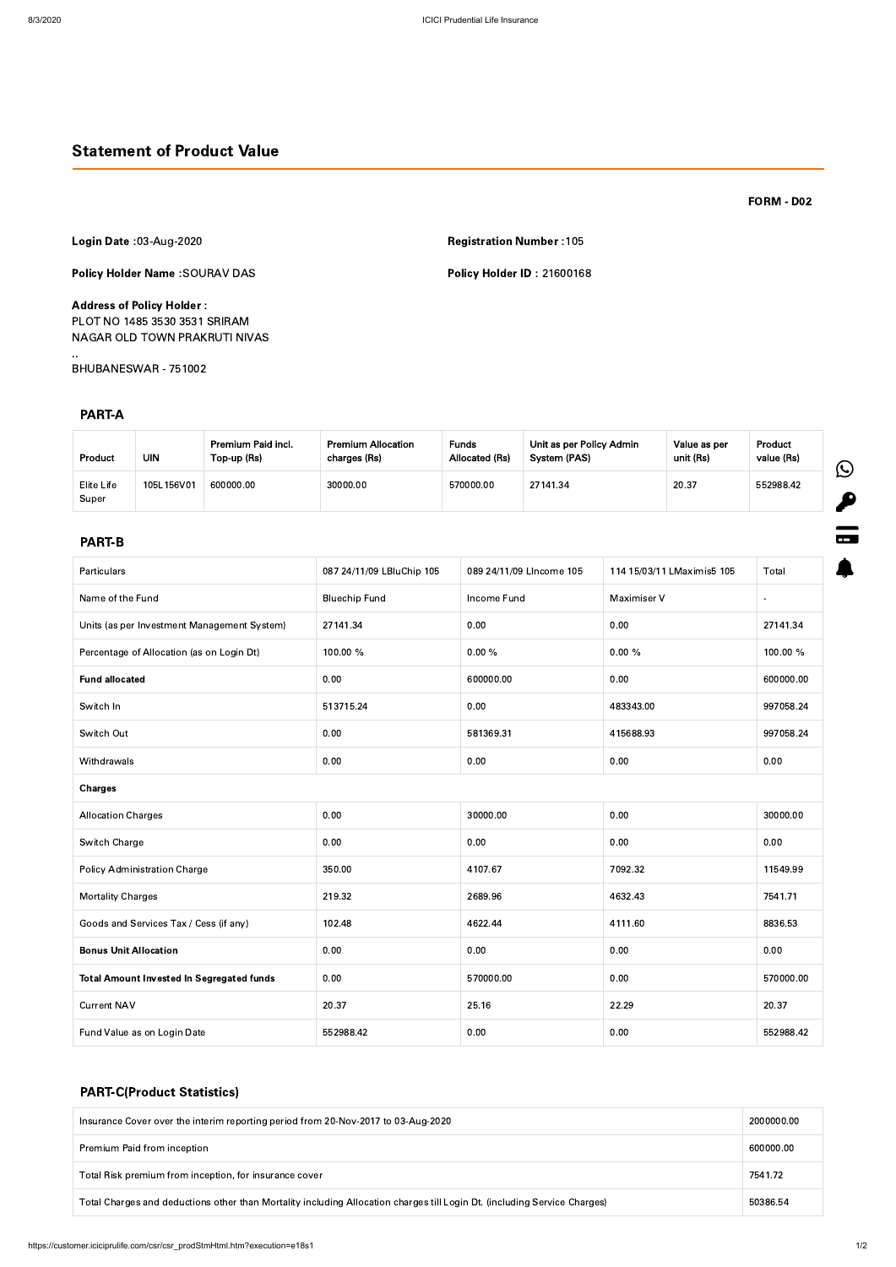# Statement of Product Value

FORM - D02

 $\boldsymbol{\beta}$ 

 $\blacksquare$ 

4

Login Date :03-Aug-2020 Registration Number :105

Policy Holder Name :SOURAV DAS Policy Holder ID : 21600168

Address of Policy Holder : PLOT NO 1485 3530 3531 SRIRAM NAGAR OLD TOWN PRAKRUTI NIVAS

..

BHUBANESWAR - 751002

## PART-A

### PART-B

| Particulars                                 | 087 24/11/09 LBluChip 105 | 089 24/11/09 Llncome 105 | 114 15/03/11 LMaximis5 105 | Total     |  |
|---------------------------------------------|---------------------------|--------------------------|----------------------------|-----------|--|
| Name of the Fund                            | <b>Bluechip Fund</b>      | Income Fund              | Maximiser V                |           |  |
| Units (as per Investment Management System) | 27141.34                  | 0.00                     | 0.00                       | 27141.34  |  |
| Percentage of Allocation (as on Login Dt)   | 100.00 %                  | $0.00 \%$                | $0.00 \%$                  | 100.00 %  |  |
| <b>Fund allocated</b>                       | 0.00                      | 600000.00                | 0.00                       | 600000.00 |  |
| Switch In                                   | 513715.24                 | 0.00                     | 483343.00                  | 997058.24 |  |
| Switch Out                                  | 0.00                      | 581369.31                | 415688.93                  | 997058.24 |  |
| Withdrawals                                 | 0.00                      | 0.00                     | 0.00                       | 0.00      |  |
| <b>Charges</b>                              |                           |                          |                            |           |  |
| <b>Allocation Charges</b>                   | 0.00                      | 30000.00                 | 0.00                       | 30000.00  |  |
| Switch Charge                               | 0.00                      | 0.00                     | 0.00                       | 0.00      |  |
| <b>Policy Administration Charge</b>         | 350.00                    | 4107.67                  | 7092.32                    | 11549.99  |  |
| <b>Mortality Charges</b>                    | 219.32                    | 2689.96                  | 4632.43                    | 7541.71   |  |
| Goods and Services Tax / Cess (if any)      | 102.48                    | 4622.44                  | 4111.60                    | 8836.53   |  |
| <b>Bonus Unit Allocation</b>                | 0.00                      | 0.00                     | 0.00                       | 0.00      |  |

| <b>Product</b>      | UIN        | Premium Paid incl.<br>Top-up (Rs) | <b>Premium Allocation</b><br>charges (Rs) | <b>Funds</b><br>Allocated (Rs) | Unit as per Policy Admin<br>System (PAS) | Value as per<br>unit (Rs) | <b>Product</b><br>value (Rs) |   |
|---------------------|------------|-----------------------------------|-------------------------------------------|--------------------------------|------------------------------------------|---------------------------|------------------------------|---|
| Elite Life<br>Super | 105L156V01 | 600000.00                         | 30000.00                                  | 570000.00                      | 27141.34                                 | 20.37                     | 552988.42                    | 匕 |

| <b>Total Amount Invested In Segregated funds</b> | 0.00      | 570000.00 | 0.00  | 570000.00 |
|--------------------------------------------------|-----------|-----------|-------|-----------|
| <b>Current NAV</b>                               | 20.37     | 25.16     | 22.29 | 20.37     |
| Fund Value as on Login Date                      | 552988.42 | 0.00      | 0.00  | 552988.42 |

# PART-C(Product Statistics)

| Insurance Cover over the interim reporting period from 20-Nov-2017 to 03-Aug-2020                                         | 2000000.00 |  |  |
|---------------------------------------------------------------------------------------------------------------------------|------------|--|--|
| Premium Paid from inception                                                                                               | 600000.00  |  |  |
| Total Risk premium from inception, for insurance cover                                                                    | 7541.72    |  |  |
| Total Charges and deductions other than Mortality including Allocation charges till Login Dt. (including Service Charges) |            |  |  |